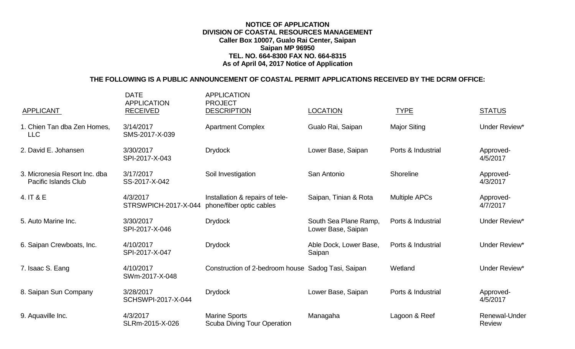## **NOTICE OF APPLICATION DIVISION OF COASTAL RESOURCES MANAGEMENT Caller Box 10007, Gualo Rai Center, Saipan Saipan MP 96950 TEL. NO. 664-8300 FAX NO. 664-8315 As of April 04, 2017 Notice of Application**

## **THE FOLLOWING IS A PUBLIC ANNOUNCEMENT OF COASTAL PERMIT APPLICATIONS RECEIVED BY THE DCRM OFFICE:**

| <b>APPLICANT</b>                                             | <b>DATE</b><br><b>APPLICATION</b><br><b>RECEIVED</b> | <b>APPLICATION</b><br><b>PROJECT</b><br><b>DESCRIPTION</b>  | <b>LOCATION</b>                             | <b>TYPE</b>          | <b>STATUS</b>                  |
|--------------------------------------------------------------|------------------------------------------------------|-------------------------------------------------------------|---------------------------------------------|----------------------|--------------------------------|
| 1. Chien Tan dba Zen Homes,<br><b>LLC</b>                    | 3/14/2017<br>SMS-2017-X-039                          | <b>Apartment Complex</b>                                    | Gualo Rai, Saipan                           | <b>Major Siting</b>  | Under Review*                  |
| 2. David E. Johansen                                         | 3/30/2017<br>SPI-2017-X-043                          | <b>Drydock</b>                                              | Lower Base, Saipan                          | Ports & Industrial   | Approved-<br>4/5/2017          |
| 3. Micronesia Resort Inc. dba<br><b>Pacific Islands Club</b> | 3/17/2017<br>SS-2017-X-042                           | Soil Investigation                                          | San Antonio                                 | Shoreline            | Approved-<br>4/3/2017          |
| 4. IT & E                                                    | 4/3/2017<br>STRSWPICH-2017-X-044                     | Installation & repairs of tele-<br>phone/fiber optic cables | Saipan, Tinian & Rota                       | <b>Multiple APCs</b> | Approved-<br>4/7/2017          |
| 5. Auto Marine Inc.                                          | 3/30/2017<br>SPI-2017-X-046                          | <b>Drydock</b>                                              | South Sea Plane Ramp,<br>Lower Base, Saipan | Ports & Industrial   | Under Review*                  |
| 6. Saipan Crewboats, Inc.                                    | 4/10/2017<br>SPI-2017-X-047                          | <b>Drydock</b>                                              | Able Dock, Lower Base,<br>Saipan            | Ports & Industrial   | Under Review*                  |
| 7. Isaac S. Eang                                             | 4/10/2017<br>SWm-2017-X-048                          | Construction of 2-bedroom house Sadog Tasi, Saipan          |                                             | Wetland              | Under Review*                  |
| 8. Saipan Sun Company                                        | 3/28/2017<br>SCHSWPI-2017-X-044                      | <b>Drydock</b>                                              | Lower Base, Saipan                          | Ports & Industrial   | Approved-<br>4/5/2017          |
| 9. Aquaville Inc.                                            | 4/3/2017<br>SLRm-2015-X-026                          | <b>Marine Sports</b><br><b>Scuba Diving Tour Operation</b>  | Managaha                                    | Lagoon & Reef        | Renewal-Under<br><b>Review</b> |